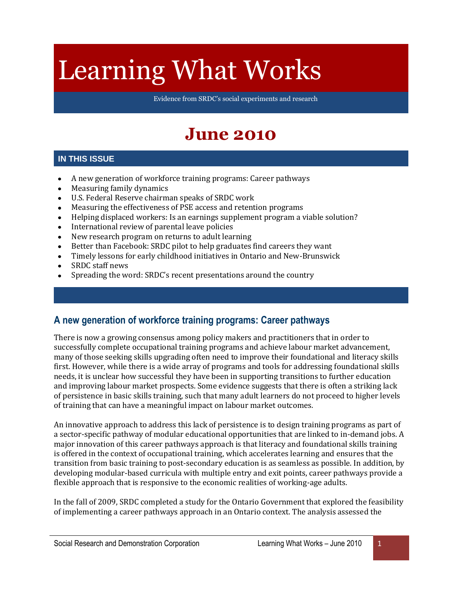# Learning What Works

Evidence from SRDC's social experiments and research

## **June 2010**

#### **IN THIS ISSUE**

- A new generation of workforce training programs: Career pathways  $\bullet$
- Measuring family dynamics  $\bullet$
- U.S. Federal Reserve chairman speaks of SRDC work  $\bullet$
- Measuring the effectiveness of PSE access and retention programs  $\bullet$
- Helping displaced workers: Is an earnings supplement program a viable solution?  $\bullet$
- International review of parental leave policies  $\bullet$
- New research program on returns to adult learning  $\bullet$
- Better than Facebook: SRDC pilot to help graduates find careers they want  $\bullet$
- Timely lessons for early childhood initiatives in Ontario and New-Brunswick  $\bullet$
- SRDC staff news  $\bullet$
- Spreading the word: SRDC's recent presentations around the country  $\bullet$

#### **A new generation of workforce training programs: Career pathways**

There is now a growing consensus among policy makers and practitioners that in order to successfully complete occupational training programs and achieve labour market advancement, many of those seeking skills upgrading often need to improve their foundational and literacy skills first. However, while there is a wide array of programs and tools for addressing foundational skills needs, it is unclear how successful they have been in supporting transitions to further education and improving labour market prospects. Some evidence suggests that there is often a striking lack of persistence in basic skills training, such that many adult learners do not proceed to higher levels of training that can have a meaningful impact on labour market outcomes.

An innovative approach to address this lack of persistence is to design training programs as part of a sector-specific pathway of modular educational opportunities that are linked to in-demand jobs. A major innovation of this career pathways approach is that literacy and foundational skills training is offered in the context of occupational training, which accelerates learning and ensures that the transition from basic training to post-secondary education is as seamless as possible. In addition, by developing modular-based curricula with multiple entry and exit points, career pathways provide a flexible approach that is responsive to the economic realities of working-age adults.

In the fall of 2009, SRDC completed a study for the Ontario Government that explored the feasibility of implementing a career pathways approach in an Ontario context. The analysis assessed the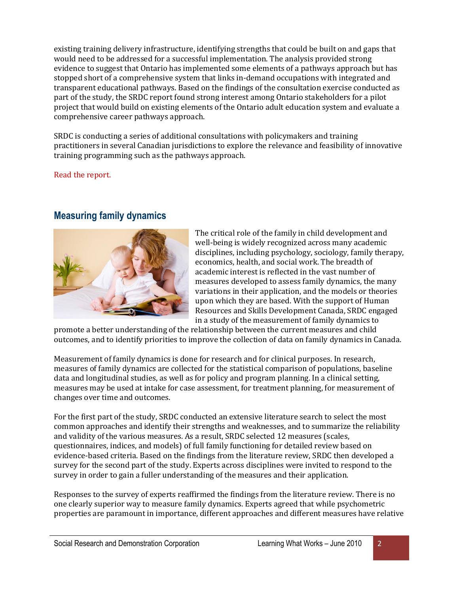existing training delivery infrastructure, identifying strengths that could be built on and gaps that would need to be addressed for a successful implementation. The analysis provided strong evidence to suggest that Ontario has implemented some elements of a pathways approach but has stopped short of a comprehensive system that links in-demand occupations with integrated and transparent educational pathways. Based on the findings of the consultation exercise conducted as part of the study, the SRDC report found strong interest among Ontario stakeholders for a pilot project that would build on existing elements of the Ontario adult education system and evaluate a comprehensive career pathways approach.

SRDC is conducting a series of additional consultations with policymakers and training practitioners in several Canadian jurisdictions to explore the relevance and feasibility of innovative training programming such as the pathways approach.

[Read the report.](http://www.srdc.org/uploads/Career_pathways_report.pdf)

#### **Measuring family dynamics**



The critical role of the family in child development and well-being is widely recognized across many academic disciplines, including psychology, sociology, family therapy, economics, health, and social work. The breadth of academic interest is reflected in the vast number of measures developed to assess family dynamics, the many variations in their application, and the models or theories upon which they are based. With the support of Human Resources and Skills Development Canada, SRDC engaged in a study of the measurement of family dynamics to

promote a better understanding of the relationship between the current measures and child outcomes, and to identify priorities to improve the collection of data on family dynamics in Canada.

Measurement of family dynamics is done for research and for clinical purposes. In research, measures of family dynamics are collected for the statistical comparison of populations, baseline data and longitudinal studies, as well as for policy and program planning. In a clinical setting, measures may be used at intake for case assessment, for treatment planning, for measurement of changes over time and outcomes.

For the first part of the study, SRDC conducted an extensive literature search to select the most common approaches and identify their strengths and weaknesses, and to summarize the reliability and validity of the various measures. As a result, SRDC selected 12 measures (scales, questionnaires, indices, and models) of full family functioning for detailed review based on evidence-based criteria. Based on the findings from the literature review, SRDC then developed a survey for the second part of the study. Experts across disciplines were invited to respond to the survey in order to gain a fuller understanding of the measures and their application.

Responses to the survey of experts reaffirmed the findings from the literature review. There is no one clearly superior way to measure family dynamics. Experts agreed that while psychometric properties are paramount in importance, different approaches and different measures have relative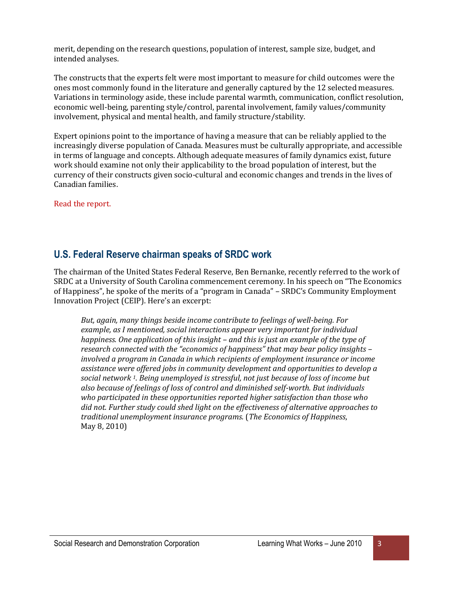merit, depending on the research questions, population of interest, sample size, budget, and intended analyses.

The constructs that the experts felt were most important to measure for child outcomes were the ones most commonly found in the literature and generally captured by the 12 selected measures. Variations in terminology aside, these include parental warmth, communication, conflict resolution, economic well-being, parenting style/control, parental involvement, family values/community involvement, physical and mental health, and family structure/stability.

Expert opinions point to the importance of having a measure that can be reliably applied to the increasingly diverse population of Canada. Measures must be culturally appropriate, and accessible in terms of language and concepts. Although adequate measures of family dynamics exist, future work should examine not only their applicability to the broad population of interest, but the currency of their constructs given socio-cultural and economic changes and trends in the lives of Canadian families.

[Read the report.](http://www.srdc.org/uploads/FamilyDynamics_FinalReport.pdf)

#### **U.S. Federal Reserve chairman speaks of SRDC work**

The chairman of the United States Federal Reserve, Ben Bernanke, recently referred to the work of SRDC at a University of South Carolina commencement ceremony. In his speech on "The Economics of Happiness", he spoke of the merits of a "program in Canada" – SRDC's Community Employment Innovation Project (CEIP). Here's an excerpt:

*But, again, many things beside income contribute to feelings of well-being. For example, as I mentioned, social interactions appear very important for individual happiness. One application of this insight – and this is just an example of the type of research connected with the "economics of happiness" that may bear policy insights – involved a program in Canada in which recipients of employment insurance or income assistance were offered jobs in community development and opportunities to develop a social network 1. Being unemployed is stressful, not just because of loss of income but also because of feelings of loss of control and diminished self-worth. But individuals who participated in these opportunities reported higher satisfaction than those who did not. Further study could shed light on the effectiveness of alternative approaches to traditional unemployment insurance programs.* (*The Economics of Happiness*, May 8, 2010)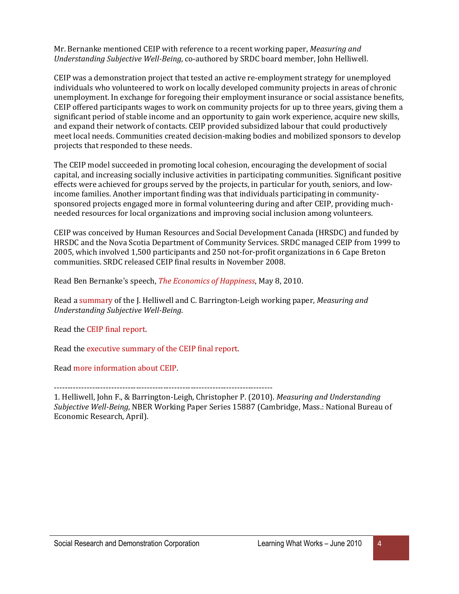Mr. Bernanke mentioned CEIP with reference to a recent working paper, *Measuring and Understanding Subjective Well-Being*, co-authored by SRDC board member, John Helliwell.

CEIP was a demonstration project that tested an active re-employment strategy for unemployed individuals who volunteered to work on locally developed community projects in areas of chronic unemployment. In exchange for foregoing their employment insurance or social assistance benefits, CEIP offered participants wages to work on community projects for up to three years, giving them a significant period of stable income and an opportunity to gain work experience, acquire new skills, and expand their network of contacts. CEIP provided subsidized labour that could productively meet local needs. Communities created decision-making bodies and mobilized sponsors to develop projects that responded to these needs.

The CEIP model succeeded in promoting local cohesion, encouraging the development of social capital, and increasing socially inclusive activities in participating communities. Significant positive effects were achieved for groups served by the projects, in particular for youth, seniors, and lowincome families. Another important finding was that individuals participating in communitysponsored projects engaged more in formal volunteering during and after CEIP, providing muchneeded resources for local organizations and improving social inclusion among volunteers.

CEIP was conceived by Human Resources and Social Development Canada (HRSDC) and funded by HRSDC and the Nova Scotia Department of Community Services. SRDC managed CEIP from 1999 to 2005, which involved 1,500 participants and 250 not-for-profit organizations in 6 Cape Breton communities. SRDC released CEIP final results in November 2008.

Read Ben Bernanke's speech, *[The Economics of Happiness](http://www.federalreserve.gov/newsevents/speech/bernanke20100508a.htm)*, May 8, 2010.

Read a [summary](http://www.nber.org/papers/w15887) of the J. Helliwell and C. Barrington-Leigh working paper, *Measuring and Understanding Subjective Well-Being*.

Read th[e CEIP final report.](http://www.srdc.org/uploads/CEIP_finalrpt_ENG.pdf)

Read th[e executive summary of the CEIP final report.](http://www.srdc.org/uploads/CEIP_finalrpt_ES_ENG.pdf)

Read [more information about CEIP.](http://www.srdc.org/en_what_we_do_item.asp?category=623&id=27397)

--------------------------------------------------------------------------------

1. Helliwell, John F., & Barrington-Leigh, Christopher P. (2010). *Measuring and Understanding Subjective Well-Being*, NBER Working Paper Series 15887 (Cambridge, Mass.: National Bureau of Economic Research, April).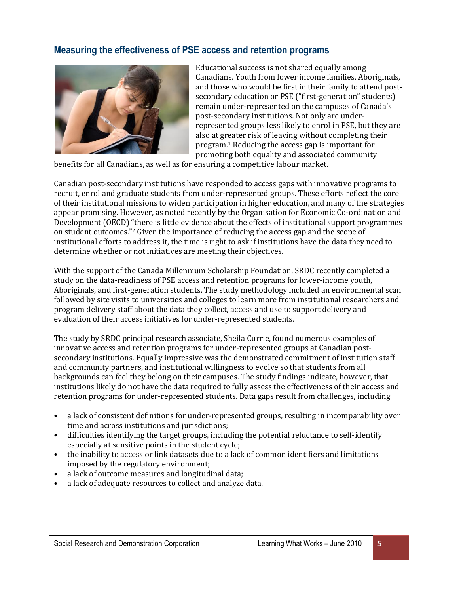#### **Measuring the effectiveness of PSE access and retention programs**



Educational success is not shared equally among Canadians. Youth from lower income families, Aboriginals, and those who would be first in their family to attend postsecondary education or PSE ("first-generation" students) remain under-represented on the campuses of Canada's post-secondary institutions. Not only are underrepresented groups less likely to enrol in PSE, but they are also at greater risk of leaving without completing their program.<sup>1</sup> Reducing the access gap is important for promoting both equality and associated community

benefits for all Canadians, as well as for ensuring a competitive labour market.

Canadian post-secondary institutions have responded to access gaps with innovative programs to recruit, enrol and graduate students from under-represented groups. These efforts reflect the core of their institutional missions to widen participation in higher education, and many of the strategies appear promising. However, as noted recently by the Organisation for Economic Co-ordination and Development (OECD) "there is little evidence about the effects of institutional support programmes on student outcomes."<sup>2</sup> Given the importance of reducing the access gap and the scope of institutional efforts to address it, the time is right to ask if institutions have the data they need to determine whether or not initiatives are meeting their objectives.

With the support of the Canada Millennium Scholarship Foundation, SRDC recently completed a study on the data-readiness of PSE access and retention programs for lower-income youth, Aboriginals, and first-generation students. The study methodology included an environmental scan followed by site visits to universities and colleges to learn more from institutional researchers and program delivery staff about the data they collect, access and use to support delivery and evaluation of their access initiatives for under-represented students.

The study by SRDC principal research associate, Sheila Currie, found numerous examples of innovative access and retention programs for under-represented groups at Canadian postsecondary institutions. Equally impressive was the demonstrated commitment of institution staff and community partners, and institutional willingness to evolve so that students from all backgrounds can feel they belong on their campuses. The study findings indicate, however, that institutions likely do not have the data required to fully assess the effectiveness of their access and retention programs for under-represented students. Data gaps result from challenges, including

- a lack of consistent definitions for under-represented groups, resulting in incomparability over time and across institutions and jurisdictions;
- difficulties identifying the target groups, including the potential reluctance to self-identify especially at sensitive points in the student cycle;
- the inability to access or link datasets due to a lack of common identifiers and limitations imposed by the regulatory environment;
- a lack of outcome measures and longitudinal data;
- a lack of adequate resources to collect and analyze data.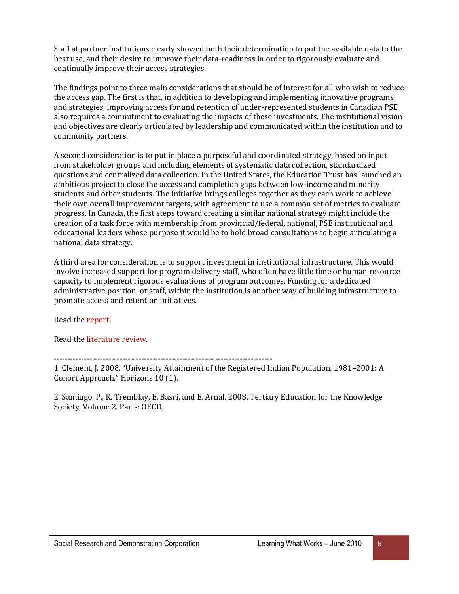Staff at partner institutions clearly showed both their determination to put the available data to the best use, and their desire to improve their data-readiness in order to rigorously evaluate and continually improve their access strategies.

The findings point to three main considerations that should be of interest for all who wish to reduce the access gap. The first is that, in addition to developing and implementing innovative programs and strategies, improving access for and retention of under-represented students in Canadian PSE also requires a commitment to evaluating the impacts of these investments. The institutional vision and objectives are clearly articulated by leadership and communicated within the institution and to community partners.

A second consideration is to put in place a purposeful and coordinated strategy, based on input from stakeholder groups and including elements of systematic data collection, standardized questions and centralized data collection. In the United States, the Education Trust has launched an ambitious project to close the access and completion gaps between low-income and minority students and other students. The initiative brings colleges together as they each work to achieve their own overall improvement targets, with agreement to use a common set of metrics to evaluate progress. In Canada, the first steps toward creating a similar national strategy might include the creation of a task force with membership from provincial/federal, national, PSE institutional and educational leaders whose purpose it would be to hold broad consultations to begin articulating a national data strategy.

A third area for consideration is to support investment in institutional infrastructure. This would involve increased support for program delivery staff, who often have little time or human resource capacity to implement rigorous evaluations of program outcomes. Funding for a dedicated administrative position, or staff, within the institution is another way of building infrastructure to promote access and retention initiatives.

Read th[e report.](http://www.srdc.org/uploads/PAR_Institute_Data_Report_EN.pdf)

Read th[e literature review.](http://www.srdc.org/uploads/PAR_Literature_review.pdf)

--------------------------------------------------------------------------------

1. Clement, J. 2008. "University Attainment of the Registered Indian Population, 1981–2001: A Cohort Approach." Horizons 10 (1).

2. Santiago, P., K. Tremblay, E. Basri, and E. Arnal. 2008. Tertiary Education for the Knowledge Society, Volume 2. Paris: OECD.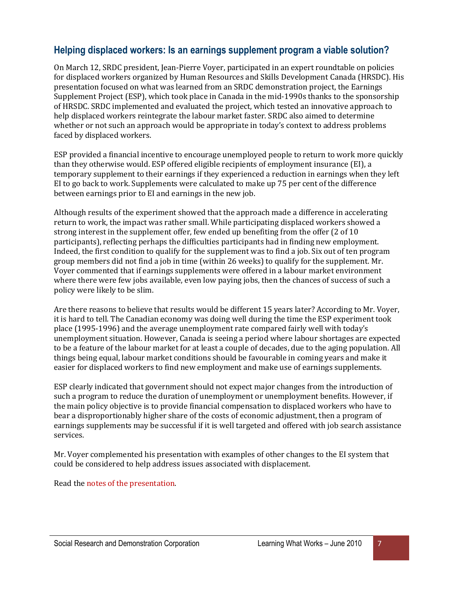#### **Helping displaced workers: Is an earnings supplement program a viable solution?**

On March 12, SRDC president, Jean-Pierre Voyer, participated in an expert roundtable on policies for displaced workers organized by Human Resources and Skills Development Canada (HRSDC). His presentation focused on what was learned from an SRDC demonstration project, the Earnings Supplement Project (ESP), which took place in Canada in the mid-1990s thanks to the sponsorship of HRSDC. SRDC implemented and evaluated the project, which tested an innovative approach to help displaced workers reintegrate the labour market faster. SRDC also aimed to determine whether or not such an approach would be appropriate in today's context to address problems faced by displaced workers.

ESP provided a financial incentive to encourage unemployed people to return to work more quickly than they otherwise would. ESP offered eligible recipients of employment insurance (EI), a temporary supplement to their earnings if they experienced a reduction in earnings when they left EI to go back to work. Supplements were calculated to make up 75 per cent of the difference between earnings prior to EI and earnings in the new job.

Although results of the experiment showed that the approach made a difference in accelerating return to work, the impact was rather small. While participating displaced workers showed a strong interest in the supplement offer, few ended up benefiting from the offer (2 of 10 participants), reflecting perhaps the difficulties participants had in finding new employment. Indeed, the first condition to qualify for the supplement was to find a job. Six out of ten program group members did not find a job in time (within 26 weeks) to qualify for the supplement. Mr. Voyer commented that if earnings supplements were offered in a labour market environment where there were few jobs available, even low paying jobs, then the chances of success of such a policy were likely to be slim.

Are there reasons to believe that results would be different 15 years later? According to Mr. Voyer, it is hard to tell. The Canadian economy was doing well during the time the ESP experiment took place (1995-1996) and the average unemployment rate compared fairly well with today's unemployment situation. However, Canada is seeing a period where labour shortages are expected to be a feature of the labour market for at least a couple of decades, due to the aging population. All things being equal, labour market conditions should be favourable in coming years and make it easier for displaced workers to find new employment and make use of earnings supplements.

ESP clearly indicated that government should not expect major changes from the introduction of such a program to reduce the duration of unemployment or unemployment benefits. However, if the main policy objective is to provide financial compensation to displaced workers who have to bear a disproportionably higher share of the costs of economic adjustment, then a program of earnings supplements may be successful if it is well targeted and offered with job search assistance services.

Mr. Voyer complemented his presentation with examples of other changes to the EI system that could be considered to help address issues associated with displacement.

Read th[e notes of the presentation.](http://www.srdc.org/uploads/Displaced_workers_HRSDC_Mar10.pdf)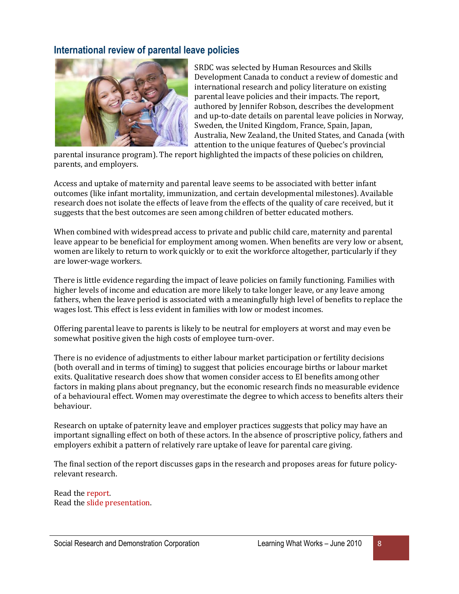#### **International review of parental leave policies**



SRDC was selected by Human Resources and Skills Development Canada to conduct a review of domestic and international research and policy literature on existing parental leave policies and their impacts. The report, authored by Jennifer Robson, describes the development and up-to-date details on parental leave policies in Norway, Sweden, the United Kingdom, France, Spain, Japan, Australia, New Zealand, the United States, and Canada (with attention to the unique features of Quebec's provincial

parental insurance program). The report highlighted the impacts of these policies on children, parents, and employers.

Access and uptake of maternity and parental leave seems to be associated with better infant outcomes (like infant mortality, immunization, and certain developmental milestones). Available research does not isolate the effects of leave from the effects of the quality of care received, but it suggests that the best outcomes are seen among children of better educated mothers.

When combined with widespread access to private and public child care, maternity and parental leave appear to be beneficial for employment among women. When benefits are very low or absent, women are likely to return to work quickly or to exit the workforce altogether, particularly if they are lower-wage workers.

There is little evidence regarding the impact of leave policies on family functioning. Families with higher levels of income and education are more likely to take longer leave, or any leave among fathers, when the leave period is associated with a meaningfully high level of benefits to replace the wages lost. This effect is less evident in families with low or modest incomes.

Offering parental leave to parents is likely to be neutral for employers at worst and may even be somewhat positive given the high costs of employee turn-over.

There is no evidence of adjustments to either labour market participation or fertility decisions (both overall and in terms of timing) to suggest that policies encourage births or labour market exits. Qualitative research does show that women consider access to EI benefits among other factors in making plans about pregnancy, but the economic research finds no measurable evidence of a behavioural effect. Women may overestimate the degree to which access to benefits alters their behaviour.

Research on uptake of paternity leave and employer practices suggests that policy may have an important signalling effect on both of these actors. In the absence of proscriptive policy, fathers and employers exhibit a pattern of relatively rare uptake of leave for parental care giving.

The final section of the report discusses gaps in the research and proposes areas for future policyrelevant research.

Read th[e report.](http://www.srdc.org/uploads/Parental_leave_report.pdf) Read th[e slide presentation.](http://www.srdc.org/uploads/Parental_leave_deck.pdf)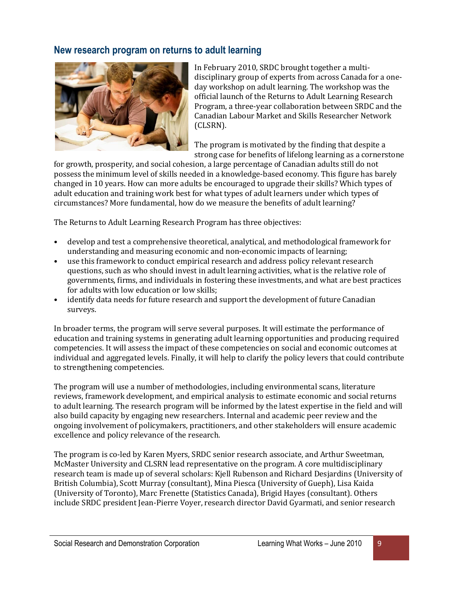#### **New research program on returns to adult learning**



In February 2010, SRDC brought together a multidisciplinary group of experts from across Canada for a oneday workshop on adult learning. The workshop was the official launch of the Returns to Adult Learning Research Program, a three-year collaboration between SRDC and the Canadian Labour Market and Skills Researcher Network (CLSRN).

The program is motivated by the finding that despite a strong case for benefits of lifelong learning as a cornerstone

for growth, prosperity, and social cohesion, a large percentage of Canadian adults still do not possess the minimum level of skills needed in a knowledge-based economy. This figure has barely changed in 10 years. How can more adults be encouraged to upgrade their skills? Which types of adult education and training work best for what types of adult learners under which types of circumstances? More fundamental, how do we measure the benefits of adult learning?

The Returns to Adult Learning Research Program has three objectives:

- develop and test a comprehensive theoretical, analytical, and methodological framework for understanding and measuring economic and non-economic impacts of learning;
- use this framework to conduct empirical research and address policy relevant research questions, such as who should invest in adult learning activities, what is the relative role of governments, firms, and individuals in fostering these investments, and what are best practices for adults with low education or low skills;
- identify data needs for future research and support the development of future Canadian surveys.

In broader terms, the program will serve several purposes. It will estimate the performance of education and training systems in generating adult learning opportunities and producing required competencies. It will assess the impact of these competencies on social and economic outcomes at individual and aggregated levels. Finally, it will help to clarify the policy levers that could contribute to strengthening competencies.

The program will use a number of methodologies, including environmental scans, literature reviews, framework development, and empirical analysis to estimate economic and social returns to adult learning. The research program will be informed by the latest expertise in the field and will also build capacity by engaging new researchers. Internal and academic peer review and the ongoing involvement of policymakers, practitioners, and other stakeholders will ensure academic excellence and policy relevance of the research.

The program is co-led by Karen Myers, SRDC senior research associate, and Arthur Sweetman, McMaster University and CLSRN lead representative on the program. A core multidisciplinary research team is made up of several scholars: Kjell Rubenson and Richard Desjardins (University of British Columbia), Scott Murray (consultant), Mina Piesca (University of Gueph), Lisa Kaida (University of Toronto), Marc Frenette (Statistics Canada), Brigid Hayes (consultant). Others include SRDC president Jean-Pierre Voyer, research director David Gyarmati, and senior research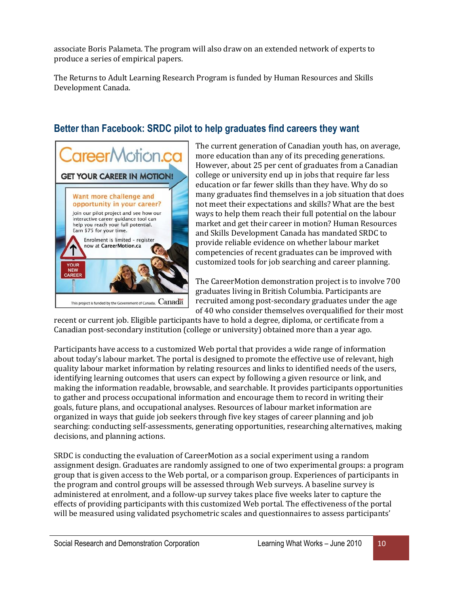associate Boris Palameta. The program will also draw on an extended network of experts to produce a series of empirical papers.

The Returns to Adult Learning Research Program is funded by Human Resources and Skills Development Canada.

### **Better than Facebook: SRDC pilot to help graduates find careers they want**



The current generation of Canadian youth has, on average, more education than any of its preceding generations. However, about 25 per cent of graduates from a Canadian college or university end up in jobs that require far less education or far fewer skills than they have. Why do so many graduates find themselves in a job situation that does not meet their expectations and skills? What are the best ways to help them reach their full potential on the labour market and get their career in motion? Human Resources and Skills Development Canada has mandated SRDC to provide reliable evidence on whether labour market competencies of recent graduates can be improved with customized tools for job searching and career planning.

The CareerMotion demonstration project is to involve 700 graduates living in British Columbia. Participants are recruited among post-secondary graduates under the age of 40 who consider themselves overqualified for their most

recent or current job. Eligible participants have to hold a degree, diploma, or certificate from a Canadian post-secondary institution (college or university) obtained more than a year ago.

Participants have access to a customized Web portal that provides a wide range of information about today's labour market. The portal is designed to promote the effective use of relevant, high quality labour market information by relating resources and links to identified needs of the users, identifying learning outcomes that users can expect by following a given resource or link, and making the information readable, browsable, and searchable. It provides participants opportunities to gather and process occupational information and encourage them to record in writing their goals, future plans, and occupational analyses. Resources of labour market information are organized in ways that guide job seekers through five key stages of career planning and job searching: conducting self-assessments, generating opportunities, researching alternatives, making decisions, and planning actions.

SRDC is conducting the evaluation of CareerMotion as a social experiment using a random assignment design. Graduates are randomly assigned to one of two experimental groups: a program group that is given access to the Web portal, or a comparison group. Experiences of participants in the program and control groups will be assessed through Web surveys. A baseline survey is administered at enrolment, and a follow-up survey takes place five weeks later to capture the effects of providing participants with this customized Web portal. The effectiveness of the portal will be measured using validated psychometric scales and questionnaires to assess participants'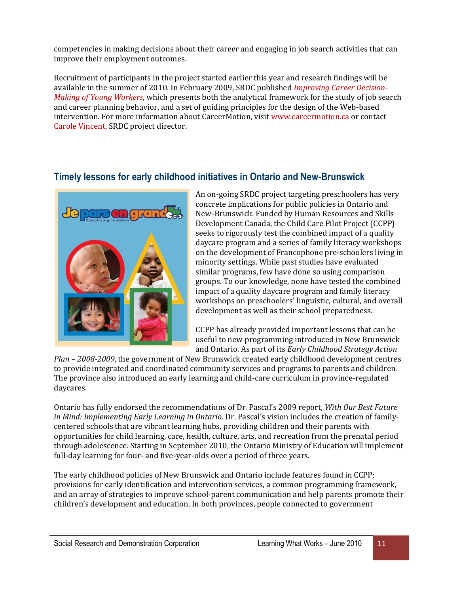competencies in making decisions about their career and engaging in job search activities that can improve their employment outcomes.

Recruitment of participants in the project started earlier this year and research findings will be available in the summer of 2010. In February 2009, SRDC published *[Improving Career Decision-](http://www.srdc.org/uploads/CareerMotion_design_rpt.pdf)[Making of Young Workers](http://www.srdc.org/uploads/CareerMotion_design_rpt.pdf)*, which presents both the analytical framework for the study of job search and career planning behavior, and a set of guiding principles for the design of the Web-based intervention. For more information about CareerMotion, visi[t www.careermotion.ca](http://www.careermotion.ca/) or contact [Carole Vincent,](mailto:cvincent@srdc.org) SRDC project director.

#### **Timely lessons for early childhood initiatives in Ontario and New-Brunswick**



An on-going SRDC project targeting preschoolers has very concrete implications for public policies in Ontario and New-Brunswick. Funded by Human Resources and Skills Development Canada, the Child Care Pilot Project (CCPP) seeks to rigorously test the combined impact of a quality daycare program and a series of family literacy workshops on the development of Francophone pre-schoolers living in minority settings. While past studies have evaluated similar programs, few have done so using comparison groups. To our knowledge, none have tested the combined impact of a quality daycare program and family literacy workshops on preschoolers' linguistic, cultural, and overall development as well as their school preparedness.

CCPP has already provided important lessons that can be useful to new programming introduced in New Brunswick and Ontario. As part of its *Early Childhood Strategy Action* 

*Plan – 2008-2009*, the government of New Brunswick created early childhood development centres to provide integrated and coordinated community services and programs to parents and children. The province also introduced an early learning and child-care curriculum in province-regulated daycares.

Ontario has fully endorsed the recommendations of Dr. Pascal's 2009 report, *With Our Best Future in Mind: Implementing Early Learning in Ontario*. Dr. Pascal's vision includes the creation of familycentered schools that are vibrant learning hubs, providing children and their parents with opportunities for child learning, care, health, culture, arts, and recreation from the prenatal period through adolescence. Starting in September 2010, the Ontario Ministry of Education will implement full-day learning for four- and five-year-olds over a period of three years.

The early childhood policies of New Brunswick and Ontario include features found in CCPP: provisions for early identification and intervention services, a common programming framework, and an array of strategies to improve school-parent communication and help parents promote their children's development and education. In both provinces, people connected to government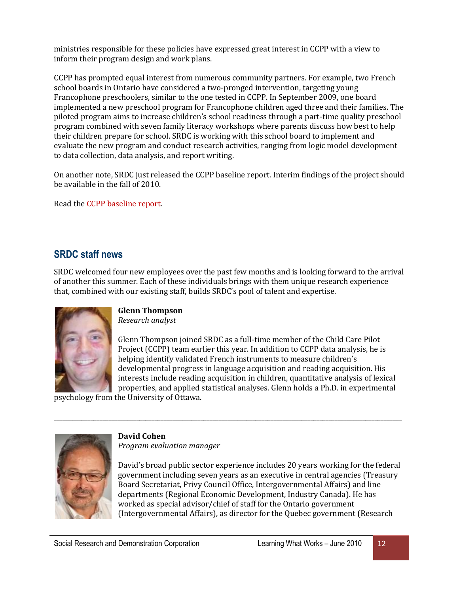ministries responsible for these policies have expressed great interest in CCPP with a view to inform their program design and work plans.

CCPP has prompted equal interest from numerous community partners. For example, two French school boards in Ontario have considered a two-pronged intervention, targeting young Francophone preschoolers, similar to the one tested in CCPP. In September 2009, one board implemented a new preschool program for Francophone children aged three and their families. The piloted program aims to increase children's school readiness through a part-time quality preschool program combined with seven family literacy workshops where parents discuss how best to help their children prepare for school. SRDC is working with this school board to implement and evaluate the new program and conduct research activities, ranging from logic model development to data collection, data analysis, and report writing.

On another note, SRDC just released the CCPP baseline report. Interim findings of the project should be available in the fall of 2010.

Read th[e CCPP baseline report.](http://www.srdc.org/uploads/PPGE_Rapport1_ENG.pdf)

#### **SRDC staff news**

SRDC welcomed four new employees over the past few months and is looking forward to the arrival of another this summer. Each of these individuals brings with them unique research experience that, combined with our existing staff, builds SRDC's pool of talent and expertise.

\_\_\_\_\_\_\_\_\_\_\_\_\_\_\_\_\_\_\_\_\_\_\_\_\_\_\_\_\_\_\_\_\_\_\_\_\_\_\_\_\_\_\_\_\_\_\_\_\_\_\_\_\_\_\_\_\_\_\_\_\_\_\_\_\_\_\_\_\_\_\_\_\_\_\_\_\_\_\_\_\_\_\_\_\_\_\_\_\_\_\_\_\_\_\_\_\_\_\_\_\_\_\_\_\_\_\_\_\_\_\_\_\_\_



**Glenn Thompson** *Research analyst*

Glenn Thompson joined SRDC as a full-time member of the Child Care Pilot Project (CCPP) team earlier this year. In addition to CCPP data analysis, he is helping identify validated French instruments to measure children's developmental progress in language acquisition and reading acquisition. His interests include reading acquisition in children, quantitative analysis of lexical properties, and applied statistical analyses. Glenn holds a Ph.D. in experimental

psychology from the University of Ottawa.



#### **David Cohen**

*Program evaluation manager*

David's broad public sector experience includes 20 years working for the federal government including seven years as an executive in central agencies (Treasury Board Secretariat, Privy Council Office, Intergovernmental Affairs) and line departments (Regional Economic Development, Industry Canada). He has worked as special advisor/chief of staff for the Ontario government (Intergovernmental Affairs), as director for the Quebec government (Research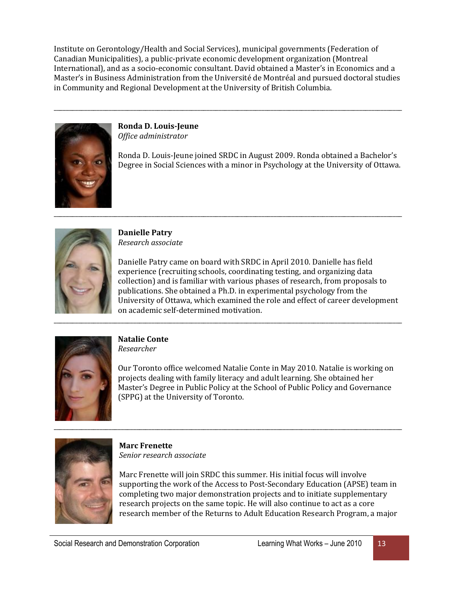Institute on Gerontology/Health and Social Services), municipal governments (Federation of Canadian Municipalities), a public-private economic development organization (Montreal International), and as a socio-economic consultant. David obtained a Master's in Economics and a Master's in Business Administration from the Université de Montréal and pursued doctoral studies in Community and Regional Development at the University of British Columbia.

\_\_\_\_\_\_\_\_\_\_\_\_\_\_\_\_\_\_\_\_\_\_\_\_\_\_\_\_\_\_\_\_\_\_\_\_\_\_\_\_\_\_\_\_\_\_\_\_\_\_\_\_\_\_\_\_\_\_\_\_\_\_\_\_\_\_\_\_\_\_\_\_\_\_\_\_\_\_\_\_\_\_\_\_\_\_\_\_\_\_\_\_\_\_\_\_\_\_\_\_\_\_\_\_\_\_\_\_\_\_\_\_\_\_

\_\_\_\_\_\_\_\_\_\_\_\_\_\_\_\_\_\_\_\_\_\_\_\_\_\_\_\_\_\_\_\_\_\_\_\_\_\_\_\_\_\_\_\_\_\_\_\_\_\_\_\_\_\_\_\_\_\_\_\_\_\_\_\_\_\_\_\_\_\_\_\_\_\_\_\_\_\_\_\_\_\_\_\_\_\_\_\_\_\_\_\_\_\_\_\_\_\_\_\_\_\_\_\_\_\_\_\_\_\_\_\_\_\_



**Ronda D. Louis-Jeune** *Office administrator*

Ronda D. Louis-Jeune joined SRDC in August 2009. Ronda obtained a Bachelor's Degree in Social Sciences with a minor in Psychology at the University of Ottawa.



**Danielle Patry** *Research associate*

Danielle Patry came on board with SRDC in April 2010. Danielle has field experience (recruiting schools, coordinating testing, and organizing data collection) and is familiar with various phases of research, from proposals to publications. She obtained a Ph.D. in experimental psychology from the University of Ottawa, which examined the role and effect of career development on academic self-determined motivation.



#### **Natalie Conte**

*Researcher*

Our Toronto office welcomed Natalie Conte in May 2010. Natalie is working on projects dealing with family literacy and adult learning. She obtained her Master's Degree in Public Policy at the School of Public Policy and Governance (SPPG) at the University of Toronto.



**Marc Frenette** *Senior research associate*

Marc Frenette will join SRDC this summer. His initial focus will involve supporting the work of the Access to Post-Secondary Education (APSE) team in completing two major demonstration projects and to initiate supplementary research projects on the same topic. He will also continue to act as a core research member of the Returns to Adult Education Research Program, a major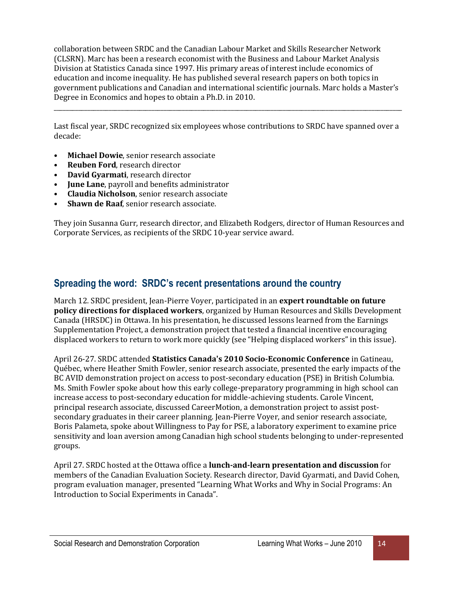collaboration between SRDC and the Canadian Labour Market and Skills Researcher Network (CLSRN). Marc has been a research economist with the Business and Labour Market Analysis Division at Statistics Canada since 1997. His primary areas of interest include economics of education and income inequality. He has published several research papers on both topics in government publications and Canadian and international scientific journals. Marc holds a Master's Degree in Economics and hopes to obtain a Ph.D. in 2010.

Last fiscal year, SRDC recognized six employees whose contributions to SRDC have spanned over a decade:

\_\_\_\_\_\_\_\_\_\_\_\_\_\_\_\_\_\_\_\_\_\_\_\_\_\_\_\_\_\_\_\_\_\_\_\_\_\_\_\_\_\_\_\_\_\_\_\_\_\_\_\_\_\_\_\_\_\_\_\_\_\_\_\_\_\_\_\_\_\_\_\_\_\_\_\_\_\_\_\_\_\_\_\_\_\_\_\_\_\_\_\_\_\_\_\_\_\_\_\_\_\_\_\_\_\_\_\_\_\_\_\_\_\_

- **Michael Dowie**, senior research associate
- **Reuben Ford**, research director
- **David Gyarmati**, research director
- **June Lane**, payroll and benefits administrator
- **Claudia Nicholson**, senior research associate
- **Shawn de Raaf**, senior research associate.

They join Susanna Gurr, research director, and Elizabeth Rodgers, director of Human Resources and Corporate Services, as recipients of the SRDC 10-year service award.

#### **Spreading the word: SRDC's recent presentations around the country**

March 12. SRDC president, Jean-Pierre Voyer, participated in an **expert roundtable on future policy directions for displaced workers**, organized by Human Resources and Skills Development Canada (HRSDC) in Ottawa. In his presentation, he discussed lessons learned from the Earnings Supplementation Project, a demonstration project that tested a financial incentive encouraging displaced workers to return to work more quickly (see "Helping displaced workers" in this issue).

April 26-27. SRDC attended **Statistics Canada's 2010 Socio-Economic Conference** in Gatineau, Québec, where Heather Smith Fowler, senior research associate, presented the early impacts of the BC AVID demonstration project on access to post-secondary education (PSE) in British Columbia. Ms. Smith Fowler spoke about how this early college-preparatory programming in high school can increase access to post-secondary education for middle-achieving students. Carole Vincent, principal research associate, discussed CareerMotion, a demonstration project to assist postsecondary graduates in their career planning. Jean-Pierre Voyer, and senior research associate, Boris Palameta, spoke about Willingness to Pay for PSE, a laboratory experiment to examine price sensitivity and loan aversion among Canadian high school students belonging to under-represented groups.

April 27. SRDC hosted at the Ottawa office a **lunch-and-learn presentation and discussion** for members of the Canadian Evaluation Society. Research director, David Gyarmati, and David Cohen, program evaluation manager, presented "Learning What Works and Why in Social Programs: An Introduction to Social Experiments in Canada".